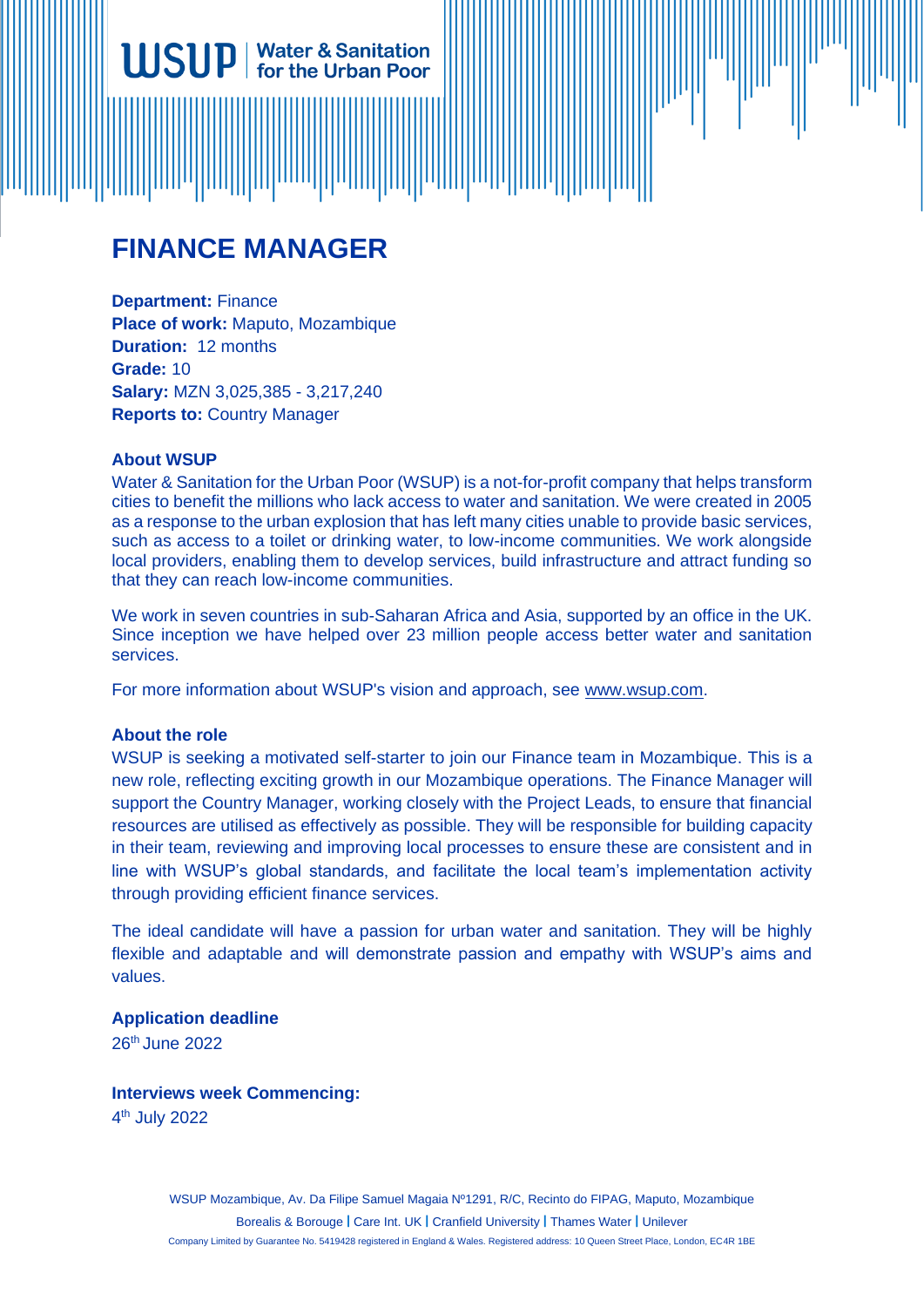# **FINANCE MANAGER**

**Water & Sanitation** for the Urban Poor

**Department:** Finance **Place of work:** Maputo, Mozambique **Duration:** 12 months **Grade:** 10 **Salary:** MZN 3,025,385 - 3,217,240 **Reports to:** Country Manager

#### **About WSUP**

Water & Sanitation for the Urban Poor (WSUP) is a not-for-profit company that helps transform cities to benefit the millions who lack access to water and sanitation. We were created in 2005 as a response to the urban explosion that has left many cities unable to provide basic services, such as access to a toilet or drinking water, to low-income communities. We work alongside local providers, enabling them to develop services, build infrastructure and attract funding so that they can reach low-income communities.

We work in seven countries in sub-Saharan Africa and Asia, supported by an office in the UK. Since inception we have helped over 23 million people access better water and sanitation services.

For more information about WSUP's vision and approach, see [www.wsup.com.](http://www.wsup.com/)

#### **About the role**

WSUP is seeking a motivated self-starter to join our Finance team in Mozambique. This is a new role, reflecting exciting growth in our Mozambique operations. The Finance Manager will support the Country Manager, working closely with the Project Leads, to ensure that financial resources are utilised as effectively as possible. They will be responsible for building capacity in their team, reviewing and improving local processes to ensure these are consistent and in line with WSUP's global standards, and facilitate the local team's implementation activity through providing efficient finance services.

The ideal candidate will have a passion for urban water and sanitation. They will be highly flexible and adaptable and will demonstrate passion and empathy with WSUP's aims and values.

#### **Application deadline**

26th June 2022

#### **Interviews week Commencing:**

4 th July 2022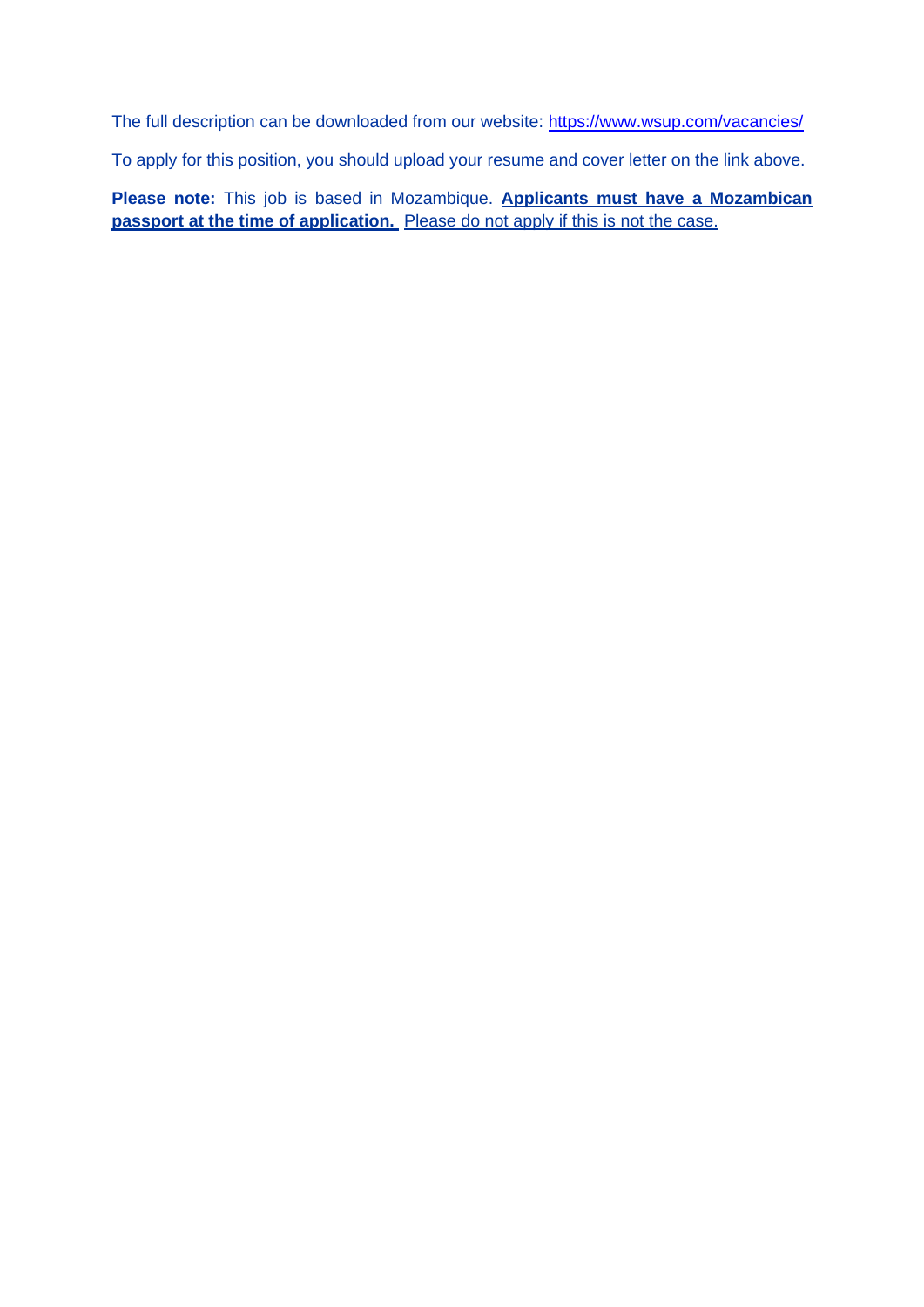The full description can be downloaded from our website:<https://www.wsup.com/vacancies/>

To apply for this position, you should upload your resume and cover letter on the link above.

**Please note:** This job is based in Mozambique. **Applicants must have a Mozambican passport at the time of application.** Please do not apply if this is not the case.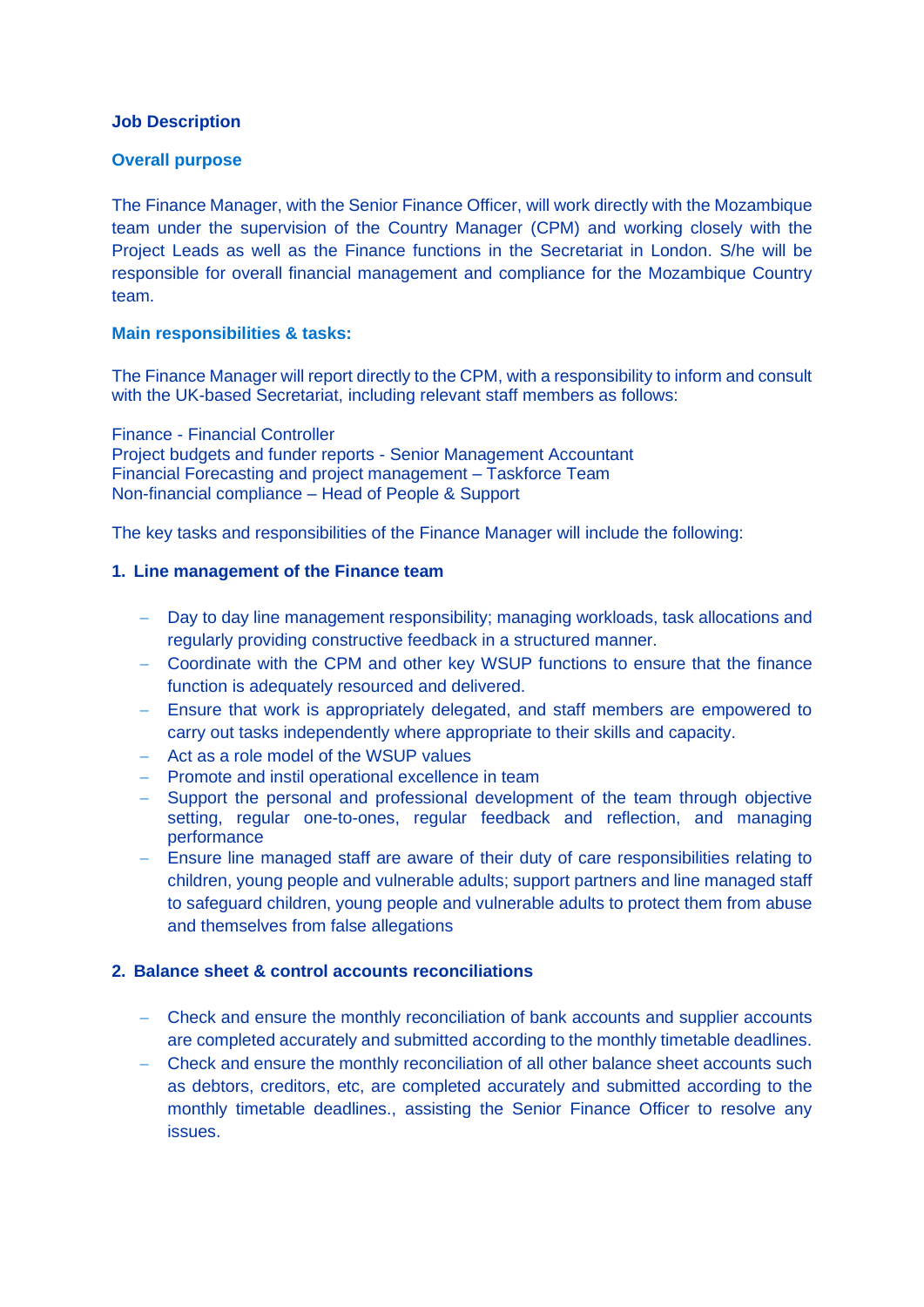#### **Job Description**

#### **Overall purpose**

The Finance Manager, with the Senior Finance Officer, will work directly with the Mozambique team under the supervision of the Country Manager (CPM) and working closely with the Project Leads as well as the Finance functions in the Secretariat in London. S/he will be responsible for overall financial management and compliance for the Mozambique Country team.

#### **Main responsibilities & tasks:**

The Finance Manager will report directly to the CPM, with a responsibility to inform and consult with the UK-based Secretariat, including relevant staff members as follows:

Finance - Financial Controller Project budgets and funder reports - Senior Management Accountant Financial Forecasting and project management – Taskforce Team Non-financial compliance – Head of People & Support

The key tasks and responsibilities of the Finance Manager will include the following:

#### **1. Line management of the Finance team**

- − Day to day line management responsibility; managing workloads, task allocations and regularly providing constructive feedback in a structured manner.
- − Coordinate with the CPM and other key WSUP functions to ensure that the finance function is adequately resourced and delivered.
- − Ensure that work is appropriately delegated, and staff members are empowered to carry out tasks independently where appropriate to their skills and capacity.
- − Act as a role model of the WSUP values
- − Promote and instil operational excellence in team
- − Support the personal and professional development of the team through objective setting, regular one-to-ones, regular feedback and reflection, and managing performance
- − Ensure line managed staff are aware of their duty of care responsibilities relating to children, young people and vulnerable adults; support partners and line managed staff to safeguard children, young people and vulnerable adults to protect them from abuse and themselves from false allegations

#### **2. Balance sheet & control accounts reconciliations**

- − Check and ensure the monthly reconciliation of bank accounts and supplier accounts are completed accurately and submitted according to the monthly timetable deadlines.
- − Check and ensure the monthly reconciliation of all other balance sheet accounts such as debtors, creditors, etc, are completed accurately and submitted according to the monthly timetable deadlines., assisting the Senior Finance Officer to resolve any issues.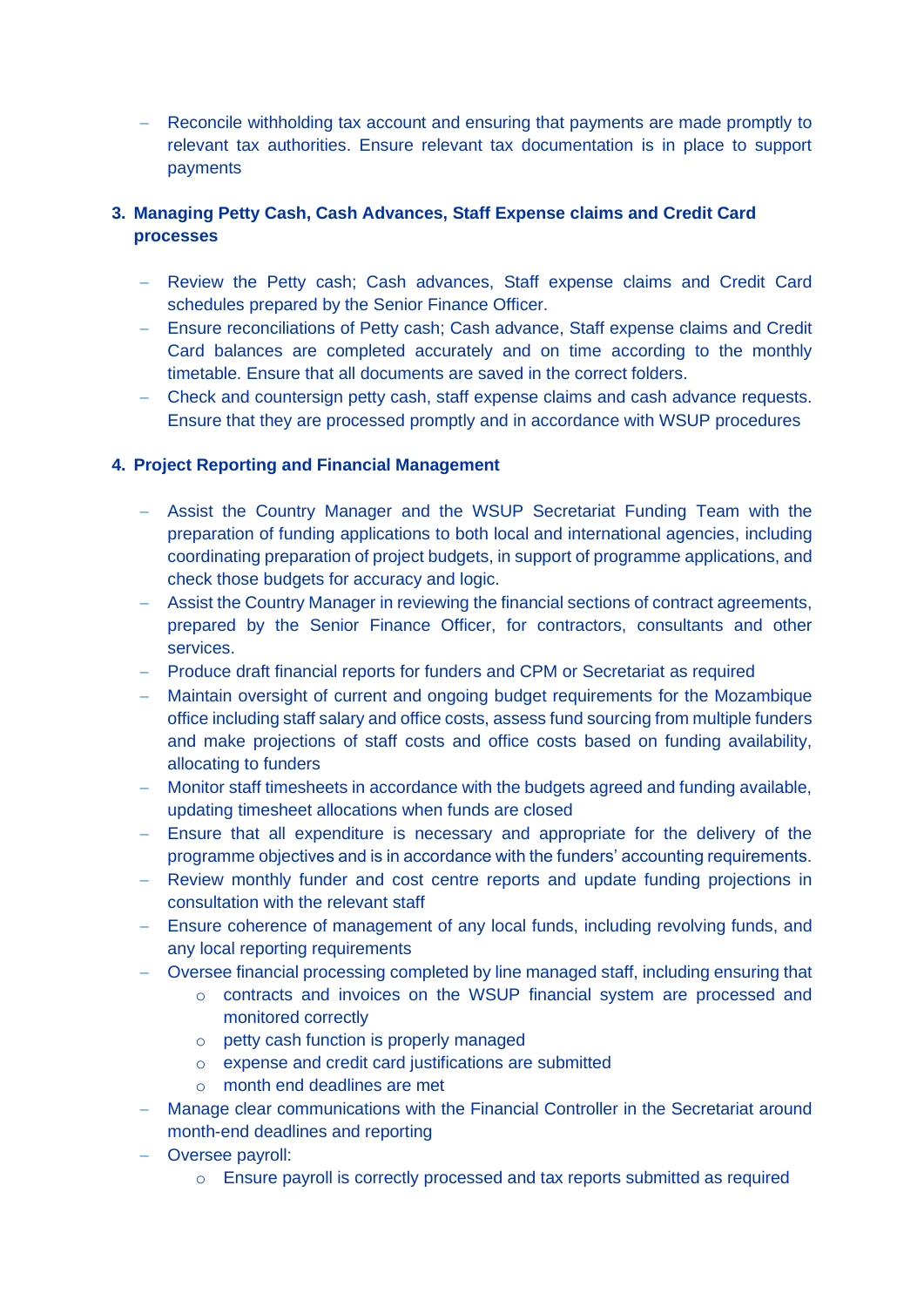− Reconcile withholding tax account and ensuring that payments are made promptly to relevant tax authorities. Ensure relevant tax documentation is in place to support payments

## **3. Managing Petty Cash, Cash Advances, Staff Expense claims and Credit Card processes**

- − Review the Petty cash; Cash advances, Staff expense claims and Credit Card schedules prepared by the Senior Finance Officer.
- − Ensure reconciliations of Petty cash; Cash advance, Staff expense claims and Credit Card balances are completed accurately and on time according to the monthly timetable. Ensure that all documents are saved in the correct folders.
- − Check and countersign petty cash, staff expense claims and cash advance requests. Ensure that they are processed promptly and in accordance with WSUP procedures

### **4. Project Reporting and Financial Management**

- − Assist the Country Manager and the WSUP Secretariat Funding Team with the preparation of funding applications to both local and international agencies, including coordinating preparation of project budgets, in support of programme applications, and check those budgets for accuracy and logic.
- − Assist the Country Manager in reviewing the financial sections of contract agreements, prepared by the Senior Finance Officer, for contractors, consultants and other services.
- − Produce draft financial reports for funders and CPM or Secretariat as required
- − Maintain oversight of current and ongoing budget requirements for the Mozambique office including staff salary and office costs, assess fund sourcing from multiple funders and make projections of staff costs and office costs based on funding availability, allocating to funders
- − Monitor staff timesheets in accordance with the budgets agreed and funding available, updating timesheet allocations when funds are closed
- − Ensure that all expenditure is necessary and appropriate for the delivery of the programme objectives and is in accordance with the funders' accounting requirements.
- − Review monthly funder and cost centre reports and update funding projections in consultation with the relevant staff
- − Ensure coherence of management of any local funds, including revolving funds, and any local reporting requirements
- − Oversee financial processing completed by line managed staff, including ensuring that
	- o contracts and invoices on the WSUP financial system are processed and monitored correctly
	- o petty cash function is properly managed
	- o expense and credit card justifications are submitted
	- o month end deadlines are met
- − Manage clear communications with the Financial Controller in the Secretariat around month-end deadlines and reporting
- − Oversee payroll:
	- $\circ$  Ensure payroll is correctly processed and tax reports submitted as required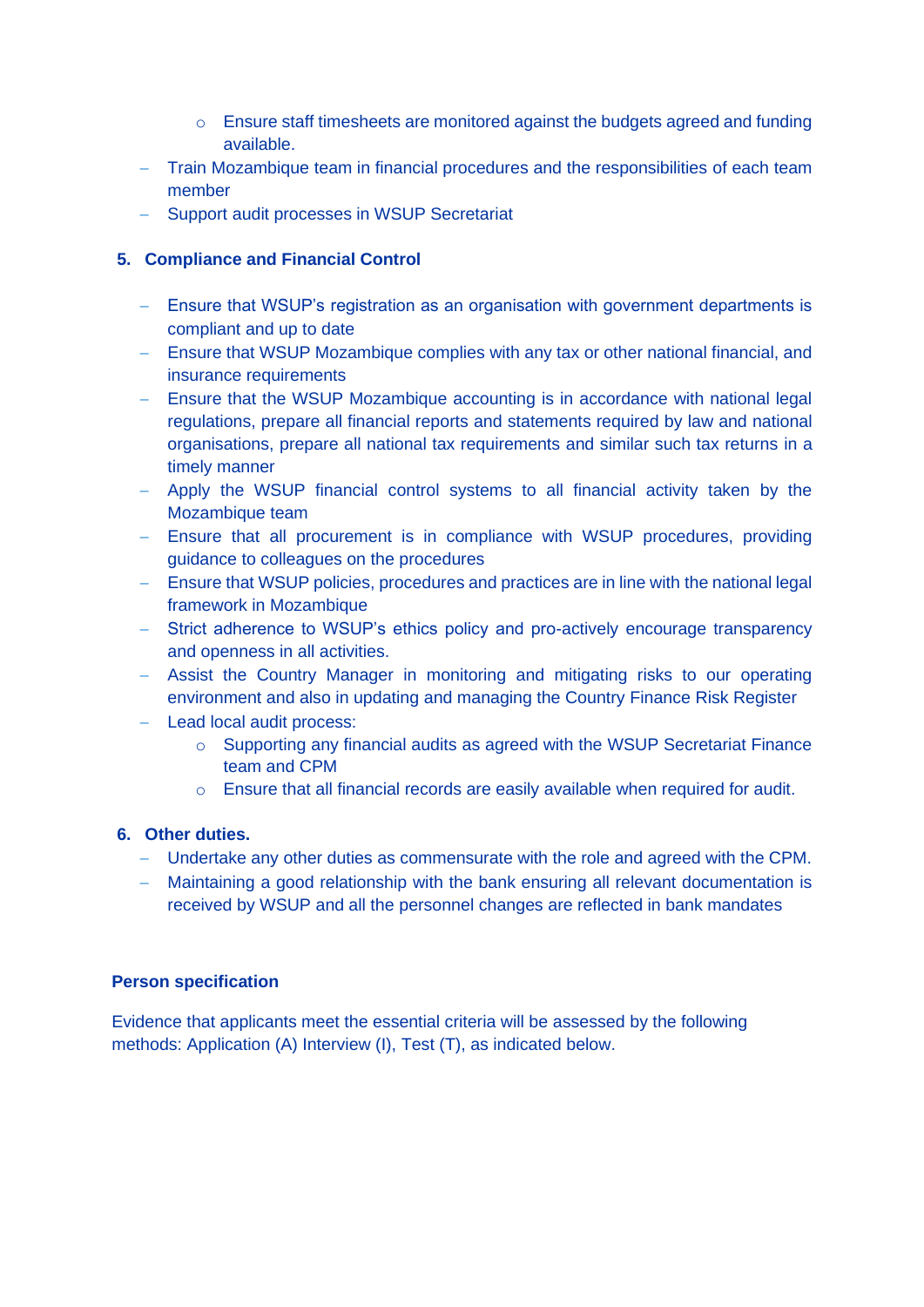- o Ensure staff timesheets are monitored against the budgets agreed and funding available.
- − Train Mozambique team in financial procedures and the responsibilities of each team member
- − Support audit processes in WSUP Secretariat

## **5. Compliance and Financial Control**

- − Ensure that WSUP's registration as an organisation with government departments is compliant and up to date
- − Ensure that WSUP Mozambique complies with any tax or other national financial, and insurance requirements
- − Ensure that the WSUP Mozambique accounting is in accordance with national legal regulations, prepare all financial reports and statements required by law and national organisations, prepare all national tax requirements and similar such tax returns in a timely manner
- − Apply the WSUP financial control systems to all financial activity taken by the Mozambique team
- − Ensure that all procurement is in compliance with WSUP procedures, providing guidance to colleagues on the procedures
- − Ensure that WSUP policies, procedures and practices are in line with the national legal framework in Mozambique
- − Strict adherence to WSUP's ethics policy and pro-actively encourage transparency and openness in all activities.
- − Assist the Country Manager in monitoring and mitigating risks to our operating environment and also in updating and managing the Country Finance Risk Register
- − Lead local audit process:
	- $\circ$  Supporting any financial audits as agreed with the WSUP Secretariat Finance team and CPM
	- o Ensure that all financial records are easily available when required for audit.

#### **6. Other duties.**

- − Undertake any other duties as commensurate with the role and agreed with the CPM.
- − Maintaining a good relationship with the bank ensuring all relevant documentation is received by WSUP and all the personnel changes are reflected in bank mandates

#### **Person specification**

Evidence that applicants meet the essential criteria will be assessed by the following methods: Application (A) Interview (I), Test (T), as indicated below.